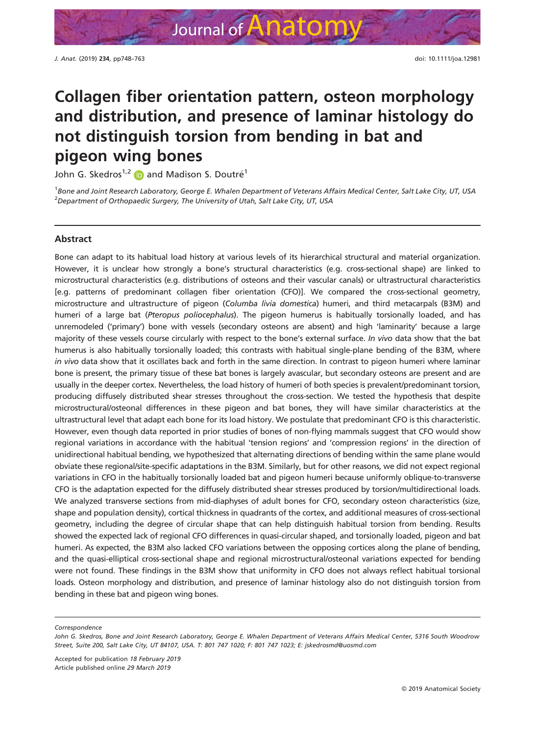# Collagen fiber orientation pattern, osteon morphology and distribution, and presence of laminar histology do not distinguish torsion from bending in bat and pigeon wing bones

John G. Skedros<sup>1,[2](https://orcid.org/0000-0002-2352-980X)</sup> **i** and Madison S. Doutré<sup>1</sup>

1 Bone and Joint Research Laboratory, George E. Whalen Department of Veterans Affairs Medical Center, Salt Lake City, UT, USA  $^2$ Department of Orthopaedic Surgery, The University of Utah, Salt Lake City, UT, USA

# Abstract

Bone can adapt to its habitual load history at various levels of its hierarchical structural and material organization. However, it is unclear how strongly a bone's structural characteristics (e.g. cross-sectional shape) are linked to microstructural characteristics (e.g. distributions of osteons and their vascular canals) or ultrastructural characteristics [e.g. patterns of predominant collagen fiber orientation (CFO)]. We compared the cross-sectional geometry, microstructure and ultrastructure of pigeon (Columba livia domestica) humeri, and third metacarpals (B3M) and humeri of a large bat (Pteropus poliocephalus). The pigeon humerus is habitually torsionally loaded, and has unremodeled ('primary') bone with vessels (secondary osteons are absent) and high 'laminarity' because a large majority of these vessels course circularly with respect to the bone's external surface. In vivo data show that the bat humerus is also habitually torsionally loaded; this contrasts with habitual single-plane bending of the B3M, where in vivo data show that it oscillates back and forth in the same direction. In contrast to pigeon humeri where laminar bone is present, the primary tissue of these bat bones is largely avascular, but secondary osteons are present and are usually in the deeper cortex. Nevertheless, the load history of humeri of both species is prevalent/predominant torsion, producing diffusely distributed shear stresses throughout the cross-section. We tested the hypothesis that despite microstructural/osteonal differences in these pigeon and bat bones, they will have similar characteristics at the ultrastructural level that adapt each bone for its load history. We postulate that predominant CFO is this characteristic. However, even though data reported in prior studies of bones of non-flying mammals suggest that CFO would show regional variations in accordance with the habitual 'tension regions' and 'compression regions' in the direction of unidirectional habitual bending, we hypothesized that alternating directions of bending within the same plane would obviate these regional/site-specific adaptations in the B3M. Similarly, but for other reasons, we did not expect regional variations in CFO in the habitually torsionally loaded bat and pigeon humeri because uniformly oblique-to-transverse CFO is the adaptation expected for the diffusely distributed shear stresses produced by torsion/multidirectional loads. We analyzed transverse sections from mid-diaphyses of adult bones for CFO, secondary osteon characteristics (size, shape and population density), cortical thickness in quadrants of the cortex, and additional measures of cross-sectional geometry, including the degree of circular shape that can help distinguish habitual torsion from bending. Results showed the expected lack of regional CFO differences in quasi-circular shaped, and torsionally loaded, pigeon and bat humeri. As expected, the B3M also lacked CFO variations between the opposing cortices along the plane of bending, and the quasi-elliptical cross-sectional shape and regional microstructural/osteonal variations expected for bending were not found. These findings in the B3M show that uniformity in CFO does not always reflect habitual torsional loads. Osteon morphology and distribution, and presence of laminar histology also do not distinguish torsion from bending in these bat and pigeon wing bones.

Correspondence

Accepted for publication 18 February 2019 Article published online 29 March 2019

John G. Skedros, Bone and Joint Research Laboratory, George E. Whalen Department of Veterans Affairs Medical Center, 5316 South Woodrow Street, Suite 200, Salt Lake City, UT 84107, USA. T: 801 747 1020; F: 801 747 1023; E: [jskedrosmd@uosmd.com](mailto:)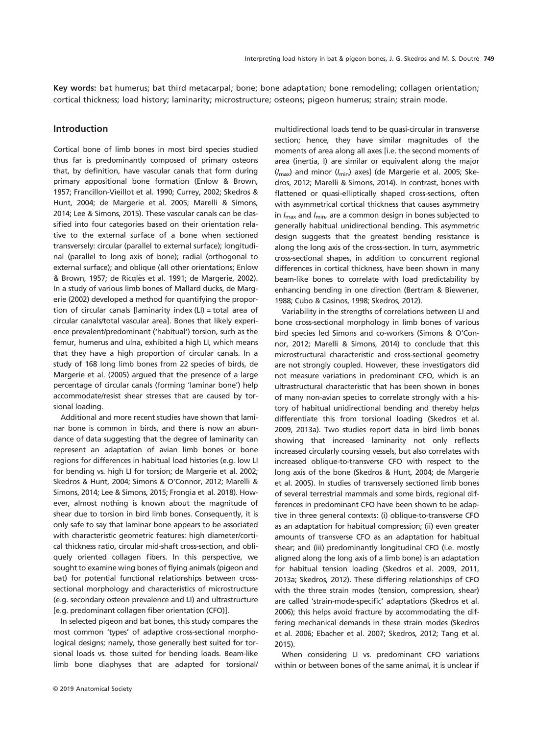Key words: bat humerus; bat third metacarpal; bone; bone adaptation; bone remodeling; collagen orientation; cortical thickness; load history; laminarity; microstructure; osteons; pigeon humerus; strain; strain mode.

# Introduction

Cortical bone of limb bones in most bird species studied thus far is predominantly composed of primary osteons that, by definition, have vascular canals that form during primary appositional bone formation (Enlow & Brown, 1957; Francillon-Vieillot et al. 1990; Currey, 2002; Skedros & Hunt, 2004; de Margerie et al. 2005; Marelli & Simons, 2014; Lee & Simons, 2015). These vascular canals can be classified into four categories based on their orientation relative to the external surface of a bone when sectioned transversely: circular (parallel to external surface); longitudinal (parallel to long axis of bone); radial (orthogonal to external surface); and oblique (all other orientations; Enlow & Brown, 1957; de Ricqles et al. 1991; de Margerie, 2002). In a study of various limb bones of Mallard ducks, de Margerie (2002) developed a method for quantifying the proportion of circular canals [laminarity index (LI) = total area of circular canals/total vascular area]. Bones that likely experience prevalent/predominant ('habitual') torsion, such as the femur, humerus and ulna, exhibited a high LI, which means that they have a high proportion of circular canals. In a study of 168 long limb bones from 22 species of birds, de Margerie et al. (2005) argued that the presence of a large percentage of circular canals (forming 'laminar bone') help accommodate/resist shear stresses that are caused by torsional loading.

Additional and more recent studies have shown that laminar bone is common in birds, and there is now an abundance of data suggesting that the degree of laminarity can represent an adaptation of avian limb bones or bone regions for differences in habitual load histories (e.g. low LI for bending vs. high LI for torsion; de Margerie et al. 2002; Skedros & Hunt, 2004; Simons & O'Connor, 2012; Marelli & Simons, 2014; Lee & Simons, 2015; Frongia et al. 2018). However, almost nothing is known about the magnitude of shear due to torsion in bird limb bones. Consequently, it is only safe to say that laminar bone appears to be associated with characteristic geometric features: high diameter/cortical thickness ratio, circular mid-shaft cross-section, and obliquely oriented collagen fibers. In this perspective, we sought to examine wing bones of flying animals (pigeon and bat) for potential functional relationships between crosssectional morphology and characteristics of microstructure (e.g. secondary osteon prevalence and LI) and ultrastructure [e.g. predominant collagen fiber orientation (CFO)].

In selected pigeon and bat bones, this study compares the most common 'types' of adaptive cross-sectional morphological designs; namely, those generally best suited for torsional loads vs. those suited for bending loads. Beam-like limb bone diaphyses that are adapted for torsional/ multidirectional loads tend to be quasi-circular in transverse section; hence, they have similar magnitudes of the moments of area along all axes [i.e. the second moments of area (inertia, I) are similar or equivalent along the major  $(l_{\text{max}})$  and minor  $(l_{\text{min}})$  axes] (de Margerie et al. 2005; Skedros, 2012; Marelli & Simons, 2014). In contrast, bones with flattened or quasi-elliptically shaped cross-sections, often with asymmetrical cortical thickness that causes asymmetry in  $I_{\text{max}}$  and  $I_{\text{min}}$ , are a common design in bones subjected to generally habitual unidirectional bending. This asymmetric design suggests that the greatest bending resistance is along the long axis of the cross-section. In turn, asymmetric cross-sectional shapes, in addition to concurrent regional differences in cortical thickness, have been shown in many beam-like bones to correlate with load predictability by enhancing bending in one direction (Bertram & Biewener, 1988; Cubo & Casinos, 1998; Skedros, 2012).

Variability in the strengths of correlations between LI and bone cross-sectional morphology in limb bones of various bird species led Simons and co-workers (Simons & O'Connor, 2012; Marelli & Simons, 2014) to conclude that this microstructural characteristic and cross-sectional geometry are not strongly coupled. However, these investigators did not measure variations in predominant CFO, which is an ultrastructural characteristic that has been shown in bones of many non-avian species to correlate strongly with a history of habitual unidirectional bending and thereby helps differentiate this from torsional loading (Skedros et al. 2009, 2013a). Two studies report data in bird limb bones showing that increased laminarity not only reflects increased circularly coursing vessels, but also correlates with increased oblique-to-transverse CFO with respect to the long axis of the bone (Skedros & Hunt, 2004; de Margerie et al. 2005). In studies of transversely sectioned limb bones of several terrestrial mammals and some birds, regional differences in predominant CFO have been shown to be adaptive in three general contexts: (i) oblique-to-transverse CFO as an adaptation for habitual compression; (ii) even greater amounts of transverse CFO as an adaptation for habitual shear; and (iii) predominantly longitudinal CFO (i.e. mostly aligned along the long axis of a limb bone) is an adaptation for habitual tension loading (Skedros et al. 2009, 2011, 2013a; Skedros, 2012). These differing relationships of CFO with the three strain modes (tension, compression, shear) are called 'strain-mode-specific' adaptations (Skedros et al. 2006); this helps avoid fracture by accommodating the differing mechanical demands in these strain modes (Skedros et al. 2006; Ebacher et al. 2007; Skedros, 2012; Tang et al. 2015).

When considering LI vs. predominant CFO variations within or between bones of the same animal, it is unclear if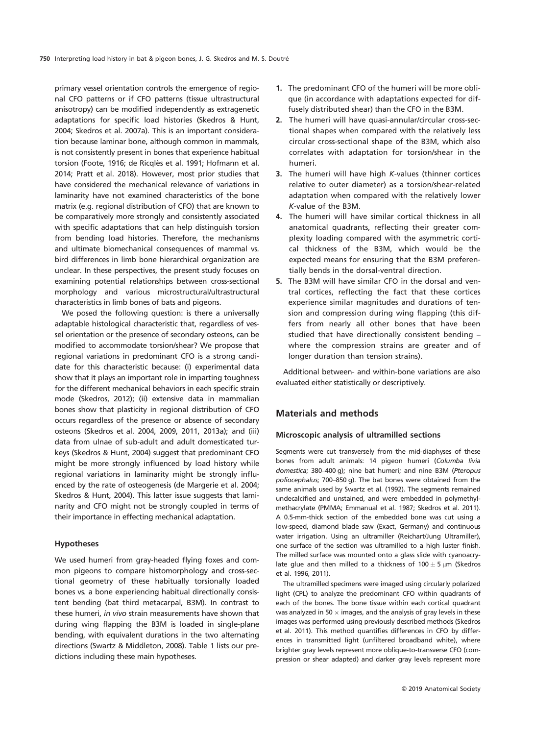primary vessel orientation controls the emergence of regional CFO patterns or if CFO patterns (tissue ultrastructural anisotropy) can be modified independently as extragenetic adaptations for specific load histories (Skedros & Hunt, 2004; Skedros et al. 2007a). This is an important consideration because laminar bone, although common in mammals, is not consistently present in bones that experience habitual torsion (Foote, 1916; de Ricqlès et al. 1991; Hofmann et al. 2014; Pratt et al. 2018). However, most prior studies that have considered the mechanical relevance of variations in laminarity have not examined characteristics of the bone matrix (e.g. regional distribution of CFO) that are known to be comparatively more strongly and consistently associated with specific adaptations that can help distinguish torsion from bending load histories. Therefore, the mechanisms and ultimate biomechanical consequences of mammal vs. bird differences in limb bone hierarchical organization are unclear. In these perspectives, the present study focuses on examining potential relationships between cross-sectional morphology and various microstructural/ultrastructural characteristics in limb bones of bats and pigeons.

We posed the following question: is there a universally adaptable histological characteristic that, regardless of vessel orientation or the presence of secondary osteons, can be modified to accommodate torsion/shear? We propose that regional variations in predominant CFO is a strong candidate for this characteristic because: (i) experimental data show that it plays an important role in imparting toughness for the different mechanical behaviors in each specific strain mode (Skedros, 2012); (ii) extensive data in mammalian bones show that plasticity in regional distribution of CFO occurs regardless of the presence or absence of secondary osteons (Skedros et al. 2004, 2009, 2011, 2013a); and (iii) data from ulnae of sub-adult and adult domesticated turkeys (Skedros & Hunt, 2004) suggest that predominant CFO might be more strongly influenced by load history while regional variations in laminarity might be strongly influenced by the rate of osteogenesis (de Margerie et al. 2004; Skedros & Hunt, 2004). This latter issue suggests that laminarity and CFO might not be strongly coupled in terms of their importance in effecting mechanical adaptation.

### Hypotheses

We used humeri from gray-headed flying foxes and common pigeons to compare histomorphology and cross-sectional geometry of these habitually torsionally loaded bones vs. a bone experiencing habitual directionally consistent bending (bat third metacarpal, B3M). In contrast to these humeri, in vivo strain measurements have shown that during wing flapping the B3M is loaded in single-plane bending, with equivalent durations in the two alternating directions (Swartz & Middleton, 2008). Table 1 lists our predictions including these main hypotheses.

- 1. The predominant CFO of the humeri will be more oblique (in accordance with adaptations expected for diffusely distributed shear) than the CFO in the B3M.
- 2. The humeri will have quasi-annular/circular cross-sectional shapes when compared with the relatively less circular cross-sectional shape of the B3M, which also correlates with adaptation for torsion/shear in the humeri.
- 3. The humeri will have high K-values (thinner cortices relative to outer diameter) as a torsion/shear-related adaptation when compared with the relatively lower K-value of the B3M.
- 4. The humeri will have similar cortical thickness in all anatomical quadrants, reflecting their greater complexity loading compared with the asymmetric cortical thickness of the B3M, which would be the expected means for ensuring that the B3M preferentially bends in the dorsal-ventral direction.
- 5. The B3M will have similar CFO in the dorsal and ventral cortices, reflecting the fact that these cortices experience similar magnitudes and durations of tension and compression during wing flapping (this differs from nearly all other bones that have been studied that have directionally consistent bending – where the compression strains are greater and of longer duration than tension strains).

Additional between- and within-bone variations are also evaluated either statistically or descriptively.

# Materials and methods

#### Microscopic analysis of ultramilled sections

Segments were cut transversely from the mid-diaphyses of these bones from adult animals: 14 pigeon humeri (Columba livia domestica; 380–400 g); nine bat humeri; and nine B3M (Pteropus poliocephalus; 700–850 g). The bat bones were obtained from the same animals used by Swartz et al. (1992). The segments remained undecalcified and unstained, and were embedded in polymethylmethacrylate (PMMA; Emmanual et al. 1987; Skedros et al. 2011). A 0.5-mm-thick section of the embedded bone was cut using a low-speed, diamond blade saw (Exact, Germany) and continuous water irrigation. Using an ultramiller (Reichart/Jung Ultramiller), one surface of the section was ultramilled to a high luster finish. The milled surface was mounted onto a glass slide with cyanoacrylate glue and then milled to a thickness of  $100 \pm 5 \,\mu m$  (Skedros et al. 1996, 2011).

The ultramilled specimens were imaged using circularly polarized light (CPL) to analyze the predominant CFO within quadrants of each of the bones. The bone tissue within each cortical quadrant was analyzed in 50  $\times$  images, and the analysis of gray levels in these images was performed using previously described methods (Skedros et al. 2011). This method quantifies differences in CFO by differences in transmitted light (unfiltered broadband white), where brighter gray levels represent more oblique-to-transverse CFO (compression or shear adapted) and darker gray levels represent more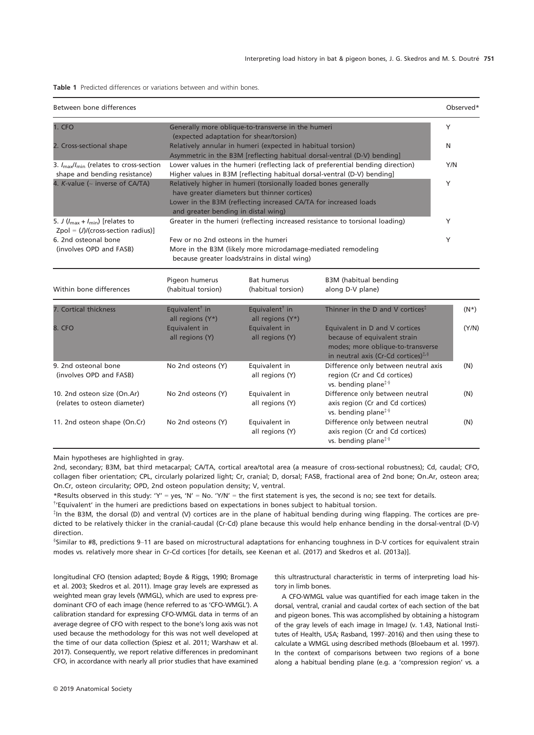Table 1 Predicted differences or variations between and within bones.

| Between bone differences                                                                      |                                                |                                                                                                                                                                                     |                                                                                                                                                                             | Observed* |
|-----------------------------------------------------------------------------------------------|------------------------------------------------|-------------------------------------------------------------------------------------------------------------------------------------------------------------------------------------|-----------------------------------------------------------------------------------------------------------------------------------------------------------------------------|-----------|
| 1. CFO                                                                                        |                                                | Generally more oblique-to-transverse in the humeri                                                                                                                                  |                                                                                                                                                                             | Y         |
|                                                                                               | (expected adaptation for shear/torsion)        |                                                                                                                                                                                     |                                                                                                                                                                             |           |
| 2. Cross-sectional shape                                                                      |                                                | Relatively annular in humeri (expected in habitual torsion)                                                                                                                         | Asymmetric in the B3M [reflecting habitual dorsal-ventral (D-V) bending]                                                                                                    | N         |
| 3. $I_{\text{max}}/I_{\text{min}}$ (relates to cross-section<br>shape and bending resistance) |                                                |                                                                                                                                                                                     | Lower values in the humeri (reflecting lack of preferential bending direction)<br>Higher values in B3M [reflecting habitual dorsal-ventral (D-V) bending]                   | Y/N       |
| 4. K-value ( $\sim$ inverse of CA/TA)                                                         | and greater bending in distal wing)            | Relatively higher in humeri (torsionally loaded bones generally<br>have greater diameters but thinner cortices)<br>Lower in the B3M (reflecting increased CA/TA for increased loads |                                                                                                                                                                             | Y         |
| 5. J $(l_{\text{max}} + l_{\text{min}})$ [relates to<br>$Zpol = (J)/(cross-section radius)$ ] |                                                |                                                                                                                                                                                     | Greater in the humeri (reflecting increased resistance to torsional loading)                                                                                                | Y         |
| 6. 2nd osteonal bone                                                                          | Few or no 2nd osteons in the humeri            |                                                                                                                                                                                     |                                                                                                                                                                             | Y         |
| (involves OPD and FASB)                                                                       |                                                | More in the B3M (likely more microdamage-mediated remodeling<br>because greater loads/strains in distal wing)                                                                       |                                                                                                                                                                             |           |
| Within bone differences                                                                       | Pigeon humerus<br>(habitual torsion)           | <b>Bat humerus</b><br>(habitual torsion)                                                                                                                                            | B3M (habitual bending<br>along D-V plane)                                                                                                                                   |           |
| 7. Cortical thickness                                                                         | Equivalent <sup>†</sup> in<br>all regions (Y*) | Equivalent <sup>†</sup> in<br>all regions (Y*)                                                                                                                                      | Thinner in the D and V cortices <sup><math>\ddag</math></sup>                                                                                                               | $(N^*)$   |
| 8. CFO                                                                                        | Equivalent in<br>all regions (Y)               | Equivalent in<br>all regions (Y)                                                                                                                                                    | Equivalent in D and V cortices<br>because of equivalent strain<br>modes; more oblique-to-transverse<br>in neutral axis (Cr-Cd cortices) <sup><math>\ddagger</math>, §</sup> | (Y/N)     |
| 9. 2nd osteonal bone<br>(involves OPD and FASB)                                               | No 2nd osteons (Y)                             | Equivalent in<br>all regions (Y)                                                                                                                                                    | Difference only between neutral axis<br>region (Cr and Cd cortices)<br>vs. bending plane <sup><math>\ddagger</math>§</sup>                                                  | (N)       |
| 10. 2nd osteon size (On.Ar)<br>(relates to osteon diameter)                                   | No 2nd osteons (Y)                             | Equivalent in<br>all regions (Y)                                                                                                                                                    | Difference only between neutral<br>axis region (Cr and Cd cortices)<br>vs. bending plane <sup>#§</sup>                                                                      | (N)       |
| 11. 2nd osteon shape (On.Cr)                                                                  | No 2nd osteons (Y)                             | Equivalent in<br>all regions (Y)                                                                                                                                                    | Difference only between neutral<br>axis region (Cr and Cd cortices)<br>vs. bending plane <sup>†</sup> <sup>§</sup>                                                          | (N)       |

Main hypotheses are highlighted in gray.

2nd, secondary; B3M, bat third metacarpal; CA/TA, cortical area/total area (a measure of cross-sectional robustness); Cd, caudal; CFO, collagen fiber orientation; CPL, circularly polarized light; Cr, cranial; D, dorsal; FASB, fractional area of 2nd bone; On.Ar, osteon area; On.Cr, osteon circularity; OPD, 2nd osteon population density; V, ventral.

\*Results observed in this study: 'Y' = yes, 'N' = No. 'Y/N' = the first statement is yes, the second is no; see text for details.

† 'Equivalent' in the humeri are predictions based on expectations in bones subject to habitual torsion.

‡ In the B3M, the dorsal (D) and ventral (V) cortices are in the plane of habitual bending during wing flapping. The cortices are predicted to be relatively thicker in the cranial-caudal (Cr-Cd) plane because this would help enhance bending in the dorsal-ventral (D-V) direction.

§ Similar to #8, predictions 9–11 are based on microstructural adaptations for enhancing toughness in D-V cortices for equivalent strain modes vs. relatively more shear in Cr-Cd cortices [for details, see Keenan et al. (2017) and Skedros et al. (2013a)].

longitudinal CFO (tension adapted; Boyde & Riggs, 1990; Bromage et al. 2003; Skedros et al. 2011). Image gray levels are expressed as weighted mean gray levels (WMGL), which are used to express predominant CFO of each image (hence referred to as 'CFO-WMGL'). A calibration standard for expressing CFO-WMGL data in terms of an average degree of CFO with respect to the bone's long axis was not used because the methodology for this was not well developed at the time of our data collection (Spiesz et al. 2011; Warshaw et al. 2017). Consequently, we report relative differences in predominant CFO, in accordance with nearly all prior studies that have examined

this ultrastructural characteristic in terms of interpreting load history in limb bones.

A CFO-WMGL value was quantified for each image taken in the dorsal, ventral, cranial and caudal cortex of each section of the bat and pigeon bones. This was accomplished by obtaining a histogram of the gray levels of each image in ImageJ (v. 1.43, National Institutes of Health, USA; Rasband, 1997–2016) and then using these to calculate a WMGL using described methods (Bloebaum et al. 1997). In the context of comparisons between two regions of a bone along a habitual bending plane (e.g. a 'compression region' vs. a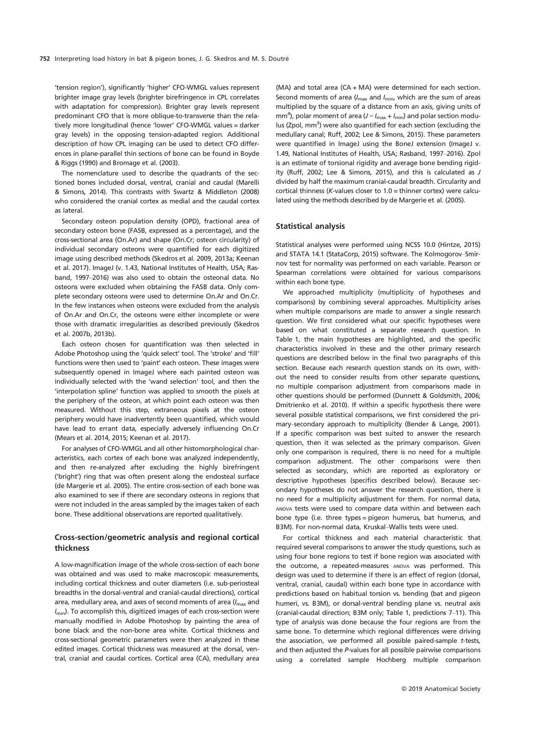'tension region'), significantly 'higher' CFO-WMGL values represent brighter image gray levels (brighter birefringence in CPL correlates with adaptation for compression). Brighter gray levels represent predominant CFO that is more oblique-to-transverse than the relatively more longitudinal (hence 'lower' CFO-WMGL values = darker gray levels) in the opposing tension-adapted region. Additional description of how CPL imaging can be used to detect CFO differences in plane-parallel thin sections of bone can be found in Boyde & Riggs (1990) and Bromage et al. (2003).

The nomenclature used to describe the quadrants of the sectioned bones included dorsal, ventral, cranial and caudal (Marelli & Simons, 2014). This contrasts with Swartz & Middleton (2008) who considered the cranial cortex as medial and the caudal cortex as lateral.

Secondary osteon population density (OPD), fractional area of secondary osteon bone (FASB, expressed as a percentage), and the cross-sectional area (On.Ar) and shape (On.Cr; osteon circularity) of individual secondary osteons were quantified for each digitized image using described methods (Skedros et al. 2009, 2013a; Keenan et al. 2017). ImageJ (v. 1.43, National Institutes of Health, USA; Rasband, 1997–2016) was also used to obtain the osteonal data. No osteons were excluded when obtaining the FASB data. Only complete secondary osteons were used to determine On.Ar and On.Cr. In the few instances when osteons were excluded from the analysis of On.Ar and On.Cr, the osteons were either incomplete or were those with dramatic irregularities as described previously (Skedros et al. 2007b, 2013b).

Each osteon chosen for quantification was then selected in Adobe Photoshop using the 'quick select' tool. The 'stroke' and 'fill' functions were then used to 'paint' each osteon. These images were subsequently opened in ImageJ where each painted osteon was individually selected with the 'wand selection' tool, and then the 'interpolation spline' function was applied to smooth the pixels at the periphery of the osteon, at which point each osteon was then measured. Without this step, extraneous pixels at the osteon periphery would have inadvertently been quantified, which would have lead to errant data, especially adversely influencing On.Cr (Mears et al. 2014, 2015; Keenan et al. 2017).

For analyses of CFO-WMGL and all other histomorphological characteristics, each cortex of each bone was analyzed independently, and then re-analyzed after excluding the highly birefringent ('bright') ring that was often present along the endosteal surface (de Margerie et al. 2005). The entire cross-section of each bone was also examined to see if there are secondary osteons in regions that were not included in the areas sampled by the images taken of each bone. These additional observations are reported qualitatively.

## Cross-section/geometric analysis and regional cortical thickness

A low-magnification image of the whole cross-section of each bone was obtained and was used to make macroscopic measurements, including cortical thickness and outer diameters (i.e. sub-periosteal breadths in the dorsal-ventral and cranial-caudal directions), cortical area, medullary area, and axes of second moments of area  $(I<sub>max</sub>$  and  $I_{\text{min}}$ ). To accomplish this, digitized images of each cross-section were manually modified in Adobe Photoshop by painting the area of bone black and the non-bone area white. Cortical thickness and cross-sectional geometric parameters were then analyzed in these edited images. Cortical thickness was measured at the dorsal, ventral, cranial and caudal cortices. Cortical area (CA), medullary area

(MA) and total area (CA + MA) were determined for each section. Second moments of area ( $I_{\text{max}}$  and  $I_{\text{min}}$ , which are the sum of areas multiplied by the square of a distance from an axis, giving units of mm<sup>4</sup>), polar moment of area ( $J = I_{\text{max}} + I_{\text{min}}$ ) and polar section modulus (Zpol, mm<sup>3</sup>) were also quantified for each section (excluding the medullary canal; Ruff, 2002; Lee & Simons, 2015). These parameters were quantified in ImageJ using the BoneJ extension (ImageJ v. 1.49, National Institutes of Health, USA; Rasband, 1997–2016). Zpol is an estimate of torsional rigidity and average bone bending rigidity (Ruff, 2002; Lee & Simons, 2015), and this is calculated as J divided by half the maximum cranial-caudal breadth. Circularity and cortical thinness (K-values closer to 1.0 = thinner cortex) were calculated using the methods described by de Margerie et al. (2005).

#### Statistical analysis

Statistical analyses were performed using NCSS 10.0 (Hintze, 2015) and STATA 14.1 (StataCorp, 2015) software. The Kolmogorov–Smirnov test for normality was performed on each variable. Pearson or Spearman correlations were obtained for various comparisons within each bone type.

We approached multiplicity (multiplicity of hypotheses and comparisons) by combining several approaches. Multiplicity arises when multiple comparisons are made to answer a single research question. We first considered what our specific hypotheses were based on what constituted a separate research question. In Table 1, the main hypotheses are highlighted, and the specific characteristics involved in these and the other primary research questions are described below in the final two paragraphs of this section. Because each research question stands on its own, without the need to consider results from other separate questions, no multiple comparison adjustment from comparisons made in other questions should be performed (Dunnett & Goldsmith, 2006; Dmitrienko et al. 2010). If within a specific hypothesis there were several possible statistical comparisons, we first considered the primary–secondary approach to multiplicity (Bender & Lange, 2001). If a specific comparison was best suited to answer the research question, then it was selected as the primary comparison. Given only one comparison is required, there is no need for a multiple comparison adjustment. The other comparisons were then selected as secondary, which are reported as exploratory or descriptive hypotheses (specifics described below). Because secondary hypotheses do not answer the research question, there is no need for a multiplicity adjustment for them. For normal data, ANOVA tests were used to compare data within and between each bone type (i.e. three types = pigeon humerus, bat humerus, and B3M). For non-normal data, Kruskal–Wallis tests were used.

For cortical thickness and each material characteristic that required several comparisons to answer the study questions, such as using four bone regions to test if bone region was associated with the outcome, a repeated-measures ANOVA was performed. This design was used to determine if there is an effect of region (dorsal, ventral, cranial, caudal) within each bone type in accordance with predictions based on habitual torsion vs. bending (bat and pigeon humeri, vs. B3M), or dorsal-ventral bending plane vs. neutral axis (cranial-caudal direction; B3M only; Table 1, predictions 7–11). This type of analysis was done because the four regions are from the same bone. To determine which regional differences were driving the association, we performed all possible paired-sample t-tests, and then adjusted the P-values for all possible pairwise comparisons using a correlated sample Hochberg multiple comparison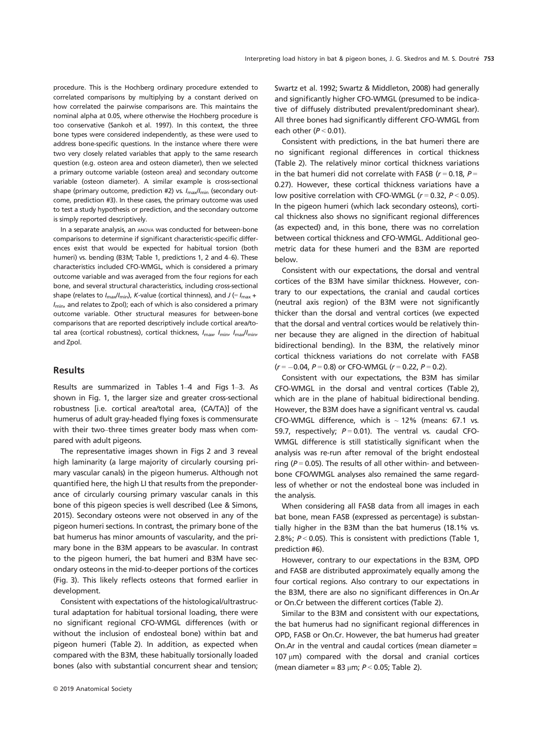procedure. This is the Hochberg ordinary procedure extended to correlated comparisons by multiplying by a constant derived on how correlated the pairwise comparisons are. This maintains the nominal alpha at 0.05, where otherwise the Hochberg procedure is too conservative (Sankoh et al. 1997). In this context, the three bone types were considered independently, as these were used to address bone-specific questions. In the instance where there were two very closely related variables that apply to the same research question (e.g. osteon area and osteon diameter), then we selected a primary outcome variable (osteon area) and secondary outcome variable (osteon diameter). A similar example is cross-sectional shape (primary outcome, prediction #2) vs.  $I_{\text{max}}/I_{\text{min}}$  (secondary outcome, prediction #3). In these cases, the primary outcome was used to test a study hypothesis or prediction, and the secondary outcome is simply reported descriptively.

In a separate analysis, an ANOVA was conducted for between-bone comparisons to determine if significant characteristic-specific differences exist that would be expected for habitual torsion (both humeri) vs. bending (B3M; Table 1, predictions 1, 2 and 4–6). These characteristics included CFO-WMGL, which is considered a primary outcome variable and was averaged from the four regions for each bone, and several structural characteristics, including cross-sectional shape (relates to  $I_{\text{max}}/I_{\text{min}}$ ), K-value (cortical thinness), and J (=  $I_{\text{max}}$  +  $I_{\text{min}}$ , and relates to Zpol); each of which is also considered a primary outcome variable. Other structural measures for between-bone comparisons that are reported descriptively include cortical area/total area (cortical robustness), cortical thickness,  $I_{\text{max}}$ ,  $I_{\text{min}}$ ,  $I_{\text{max}}/I_{\text{min}}$ and Zpol.

## Results

Results are summarized in Tables 1–4 and Figs 1–3. As shown in Fig. 1, the larger size and greater cross-sectional robustness [i.e. cortical area/total area, (CA/TA)] of the humerus of adult gray-headed flying foxes is commensurate with their two–three times greater body mass when compared with adult pigeons.

The representative images shown in Figs 2 and 3 reveal high laminarity (a large majority of circularly coursing primary vascular canals) in the pigeon humerus. Although not quantified here, the high LI that results from the preponderance of circularly coursing primary vascular canals in this bone of this pigeon species is well described (Lee & Simons, 2015). Secondary osteons were not observed in any of the pigeon humeri sections. In contrast, the primary bone of the bat humerus has minor amounts of vascularity, and the primary bone in the B3M appears to be avascular. In contrast to the pigeon humeri, the bat humeri and B3M have secondary osteons in the mid-to-deeper portions of the cortices (Fig. 3). This likely reflects osteons that formed earlier in development.

Consistent with expectations of the histological/ultrastructural adaptation for habitual torsional loading, there were no significant regional CFO-WMGL differences (with or without the inclusion of endosteal bone) within bat and pigeon humeri (Table 2). In addition, as expected when compared with the B3M, these habitually torsionally loaded bones (also with substantial concurrent shear and tension;

Swartz et al. 1992; Swartz & Middleton, 2008) had generally and significantly higher CFO-WMGL (presumed to be indicative of diffusely distributed prevalent/predominant shear). All three bones had significantly different CFO-WMGL from each other  $(P < 0.01)$ .

Consistent with predictions, in the bat humeri there are no significant regional differences in cortical thickness (Table 2). The relatively minor cortical thickness variations in the bat humeri did not correlate with FASB ( $r = 0.18$ ,  $P =$ 0.27). However, these cortical thickness variations have a low positive correlation with CFO-WMGL ( $r = 0.32$ ,  $P < 0.05$ ). In the pigeon humeri (which lack secondary osteons), cortical thickness also shows no significant regional differences (as expected) and, in this bone, there was no correlation between cortical thickness and CFO-WMGL. Additional geometric data for these humeri and the B3M are reported below.

Consistent with our expectations, the dorsal and ventral cortices of the B3M have similar thickness. However, contrary to our expectations, the cranial and caudal cortices (neutral axis region) of the B3M were not significantly thicker than the dorsal and ventral cortices (we expected that the dorsal and ventral cortices would be relatively thinner because they are aligned in the direction of habitual bidirectional bending). In the B3M, the relatively minor cortical thickness variations do not correlate with FASB  $(r = -0.04, P = 0.8)$  or CFO-WMGL  $(r = 0.22, P = 0.2)$ .

Consistent with our expectations, the B3M has similar CFO-WMGL in the dorsal and ventral cortices (Table 2), which are in the plane of habitual bidirectional bending. However, the B3M does have a significant ventral vs. caudal CFO-WMGL difference, which is  $\sim$  12% (means: 67.1 vs. 59.7, respectively;  $P = 0.01$ ). The ventral vs. caudal CFO-WMGL difference is still statistically significant when the analysis was re-run after removal of the bright endosteal ring ( $P = 0.05$ ). The results of all other within- and betweenbone CFO/WMGL analyses also remained the same regardless of whether or not the endosteal bone was included in the analysis.

When considering all FASB data from all images in each bat bone, mean FASB (expressed as percentage) is substantially higher in the B3M than the bat humerus (18.1% vs. 2.8%;  $P < 0.05$ ). This is consistent with predictions (Table 1, prediction #6).

However, contrary to our expectations in the B3M, OPD and FASB are distributed approximately equally among the four cortical regions. Also contrary to our expectations in the B3M, there are also no significant differences in On.Ar or On.Cr between the different cortices (Table 2).

Similar to the B3M and consistent with our expectations, the bat humerus had no significant regional differences in OPD, FASB or On.Cr. However, the bat humerus had greater On.Ar in the ventral and caudal cortices (mean diameter =  $107 \mu m$ ) compared with the dorsal and cranial cortices (mean diameter = 83  $\mu$ m;  $P < 0.05$ ; Table 2).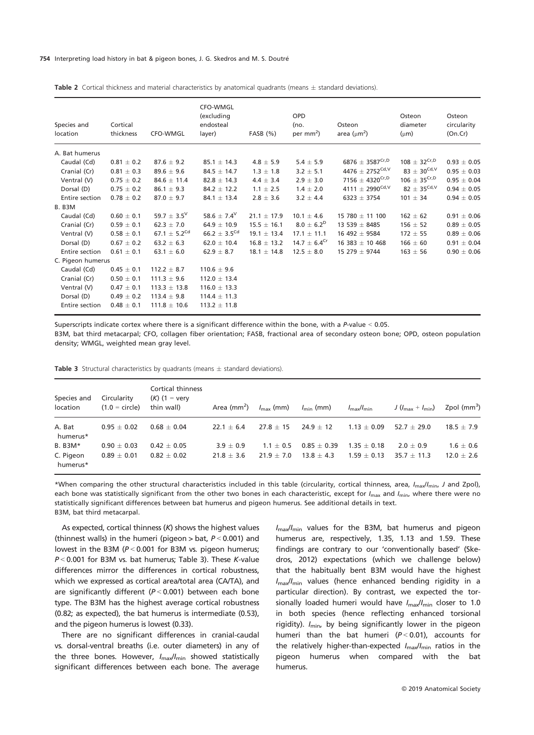#### 754 Interpreting load history in bat & pigeon bones, J. G. Skedros and M. S. Doutre

| Species and<br>location | Cortical<br>thickness | CFO-WMGL                     | <b>CFO-WMGL</b><br>(excluding<br>endosteal<br>layer) | $FASB$ $(\% )$  | <b>OPD</b><br>(no.<br>per $mm2$ ) | Osteon<br>area ( $\mu$ m <sup>2</sup> ) | Osteon<br>diameter<br>$(\mu m)$ | Osteon<br>circularity<br>(On.Cr) |
|-------------------------|-----------------------|------------------------------|------------------------------------------------------|-----------------|-----------------------------------|-----------------------------------------|---------------------------------|----------------------------------|
| A. Bat humerus          |                       |                              |                                                      |                 |                                   |                                         |                                 |                                  |
| Caudal (Cd)             | $0.81 \pm 0.2$        | $87.6 \pm 9.2$               | $85.1 \pm 14.3$                                      | $4.8 \pm 5.9$   | $5.4 \pm 5.9$                     | $6876\,\pm\,3587^{\text{Cr,D}}$         | $108 \pm 32^{\text{Cr,D}}$      | $0.93 \pm 0.05$                  |
| Cranial (Cr)            | $0.81 \pm 0.3$        | $89.6 \pm 9.6$               | $84.5 \pm 14.7$                                      | $1.3 \pm 1.8$   | $3.2 \pm 5.1$                     | 4476 $\pm$ 2752 <sup>Cd, V</sup>        | 83 $\pm 30^{\text{Cd,V}}$       | $0.95 \pm 0.03$                  |
| Ventral (V)             | $0.75 \pm 0.2$        | $84.6 \pm 11.4$              | $82.8 \pm 14.3$                                      | $4.4 \pm 3.4$   | $2.9 \pm 3.0$                     | 7156 $\pm$ 4320 <sup>Cr,D</sup>         | 106 $\pm$ 35 <sup>Cr,D</sup>    | $0.95 \pm 0.04$                  |
| Dorsal (D)              | $0.75 \pm 0.2$        | $86.1 \pm 9.3$               | $84.2 \pm 12.2$                                      | $1.1 \pm 2.5$   | $1.4 \pm 2.0$                     | 4111 $\pm$ 2990 <sup>Cd, V</sup>        | 82 $\pm 35^{\text{Cd,V}}$       | $0.94 \pm 0.05$                  |
| Entire section          | $0.78 \pm 0.2$        | $87.0 \pm 9.7$               | $84.1 \pm 13.4$                                      | $2.8 \pm 3.6$   | $3.2 \pm 4.4$                     | $6323 \pm 3754$                         | $101 \pm 34$                    | $0.94 \pm 0.05$                  |
| <b>B. B3M</b>           |                       |                              |                                                      |                 |                                   |                                         |                                 |                                  |
| Caudal (Cd)             | $0.60 \pm 0.1$        | 59.7 $\pm$ 3.5 <sup>V</sup>  | 58.6 $\pm$ 7.4 <sup>V</sup>                          | $21.1 \pm 17.9$ | $10.1 \pm 4.6$                    | 15 780 $\pm$ 11 100                     | $162 \pm 62$                    | $0.91 \pm 0.06$                  |
| Cranial (Cr)            | $0.59 \pm 0.1$        | $62.3 \pm 7.0$               | $64.9 \pm 10.9$                                      | $15.5 \pm 16.1$ | $8.0 \pm 6.2^D$                   | 13 539 $\pm$ 8485                       | $156 \pm 52$                    | $0.89 \pm 0.05$                  |
| Ventral (V)             | $0.58 \pm 0.1$        | 67.1 $\pm$ 5.2 <sup>Cd</sup> | 66.2 $\pm$ 3.5 <sup>Cd</sup>                         | $19.1 \pm 13.4$ | $17.1 \pm 11.1$                   | 16 492 $\pm$ 9584                       | $172 \pm 55$                    | $0.89 \pm 0.06$                  |
| Dorsal (D)              | $0.67 \pm 0.2$        | $63.2 \pm 6.3$               | $62.0 \pm 10.4$                                      | $16.8 \pm 13.2$ | 14.7 $\pm$ 6.4 <sup>Cr</sup>      | $16$ 383 $\pm$ 10 468                   | $166 \pm 60$                    | $0.91 \pm 0.04$                  |
| Entire section          | $0.61 \pm 0.1$        | 63.1 $\pm$ 6.0               | $62.9 \pm 8.7$                                       | $18.1 \pm 14.8$ | $12.5 \pm 8.0$                    | 15 279 $\pm$ 9744                       | $163 \pm 56$                    | $0.90 \pm 0.06$                  |
| C. Pigeon humerus       |                       |                              |                                                      |                 |                                   |                                         |                                 |                                  |
| Caudal (Cd)             | $0.45 \pm 0.1$        | $112.2 \pm 8.7$              | $110.6 \pm 9.6$                                      |                 |                                   |                                         |                                 |                                  |
| Cranial (Cr)            | $0.50 \pm 0.1$        | $111.3 \pm 9.6$              | $112.0 \pm 13.4$                                     |                 |                                   |                                         |                                 |                                  |
| Ventral (V)             | $0.47 \pm 0.1$        | $113.3 \pm 13.8$             | $116.0 \pm 13.3$                                     |                 |                                   |                                         |                                 |                                  |
| Dorsal (D)              | $0.49 \pm 0.2$        | $113.4 \pm 9.8$              | $114.4 \pm 11.3$                                     |                 |                                   |                                         |                                 |                                  |
| Entire section          | $0.48 \pm 0.1$        | $111.8 \pm 10.6$             | $113.2 \pm 11.8$                                     |                 |                                   |                                         |                                 |                                  |

Table 2 Cortical thickness and material characteristics by anatomical quadrants (means  $\pm$  standard deviations).

Superscripts indicate cortex where there is a significant difference within the bone, with a P-value < 0.05.

B3M, bat third metacarpal; CFO, collagen fiber orientation; FASB, fractional area of secondary osteon bone; OPD, osteon population density; WMGL, weighted mean gray level.

| <b>Table 3</b> Structural characteristics by quadrants (means $\pm$ standard deviations). |  |
|-------------------------------------------------------------------------------------------|--|
|-------------------------------------------------------------------------------------------|--|

| Species and<br>location | Circularity<br>$(1.0 = circle)$ | Cortical thinness<br>$(K)$ (1 = very<br>thin wall) | Area (mm <sup>2</sup> ) $I_{\text{max}}$ (mm) $I_{\text{min}}$ (mm) |              |               | $I_{\rm max}/I_{\rm min}$ | $J(l_{\text{max}}+l_{\text{min}})$ | Zpol $(mm3)$   |
|-------------------------|---------------------------------|----------------------------------------------------|---------------------------------------------------------------------|--------------|---------------|---------------------------|------------------------------------|----------------|
| A. Bat<br>humerus*      | $0.95 + 0.02$                   | $0.68 + 0.04$                                      | $22.1 + 6.4$                                                        | $27.8 + 15$  | $24.9 + 12$   | $1.13 + 0.09$             | $52.7 + 29.0$                      | $18.5 + 7.9$   |
| $B. B3M*$               | $0.90 + 0.03$                   | $0.42 + 0.05$                                      | $3.9 + 0.9$                                                         | $1.1 + 0.5$  | $0.85 + 0.39$ | $1.35 + 0.18$             | $2.0 + 0.9$                        | $1.6 \pm 0.6$  |
| C. Pigeon<br>humerus*   | $0.89 \pm 0.01$                 | $0.82 + 0.02$                                      | $21.8 + 3.6$                                                        | $21.9 + 7.0$ | $13.8 + 4.3$  | $1.59 + 0.13$             | $35.7 + 11.3$                      | $12.0 \pm 2.6$ |

\*When comparing the other structural characteristics included in this table (circularity, cortical thinness, area, I<sub>max</sub>/I<sub>min</sub>, J and Zpol), each bone was statistically significant from the other two bones in each characteristic, except for  $I_{\text{max}}$  and  $I_{\text{min}}$ , where there were no statistically significant differences between bat humerus and pigeon humerus. See additional details in text. B3M, bat third metacarpal.

As expected, cortical thinness  $(K)$  shows the highest values (thinnest walls) in the humeri (pigeon  $>$  bat,  $P < 0.001$ ) and lowest in the B3M (P<0.001 for B3M vs. pigeon humerus;  $P < 0.001$  for B3M vs. bat humerus; Table 3). These K-value differences mirror the differences in cortical robustness, which we expressed as cortical area/total area (CA/TA), and are significantly different ( $P < 0.001$ ) between each bone type. The B3M has the highest average cortical robustness (0.82; as expected), the bat humerus is intermediate (0.53), and the pigeon humerus is lowest (0.33).

There are no significant differences in cranial-caudal vs. dorsal-ventral breaths (i.e. outer diameters) in any of the three bones. However,  $I_{\text{max}}/I_{\text{min}}$  showed statistically significant differences between each bone. The average  $I_{\text{max}}/I_{\text{min}}$  values for the B3M, bat humerus and pigeon humerus are, respectively, 1.35, 1.13 and 1.59. These findings are contrary to our 'conventionally based' (Skedros, 2012) expectations (which we challenge below) that the habitually bent B3M would have the highest  $I_{\text{max}}/I_{\text{min}}$  values (hence enhanced bending rigidity in a particular direction). By contrast, we expected the torsionally loaded humeri would have  $I_{\text{max}}/I_{\text{min}}$  closer to 1.0 in both species (hence reflecting enhanced torsional rigidity).  $I_{\text{min}}$ , by being significantly lower in the pigeon humeri than the bat humeri  $(P < 0.01)$ , accounts for the relatively higher-than-expected  $I_{\text{max}}/I_{\text{min}}$  ratios in the pigeon humerus when compared with the bat humerus.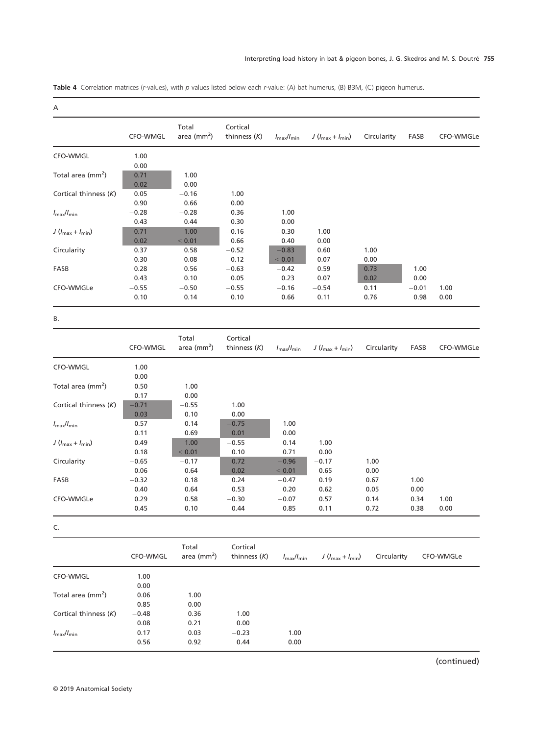Table 4 Correlation matrices (r-values), with p values listed below each r-value: (A) bat humerus, (B) B3M, (C) pigeon humerus.

| . . |
|-----|

|                                    | CFO-WMGL | Total<br>area ( $mm2$ ) | Cortical<br>thinness $(K)$ | $I_{\text{max}}/I_{\text{min}}$ | $J(l_{\text{max}}+l_{\text{min}})$ | Circularity | FASB    | CFO-WMGLe |
|------------------------------------|----------|-------------------------|----------------------------|---------------------------------|------------------------------------|-------------|---------|-----------|
| CFO-WMGL                           | 1.00     |                         |                            |                                 |                                    |             |         |           |
|                                    | 0.00     |                         |                            |                                 |                                    |             |         |           |
| Total area (mm <sup>2</sup> )      | 0.71     | 1.00                    |                            |                                 |                                    |             |         |           |
|                                    | 0.02     | 0.00                    |                            |                                 |                                    |             |         |           |
| Cortical thinness (K)              | 0.05     | $-0.16$                 | 1.00                       |                                 |                                    |             |         |           |
|                                    | 0.90     | 0.66                    | 0.00                       |                                 |                                    |             |         |           |
| $l_{\rm max}/l_{\rm min}$          | $-0.28$  | $-0.28$                 | 0.36                       | 1.00                            |                                    |             |         |           |
|                                    | 0.43     | 0.44                    | 0.30                       | 0.00                            |                                    |             |         |           |
| $J(l_{\text{max}}+l_{\text{min}})$ | 0.71     | 1.00                    | $-0.16$                    | $-0.30$                         | 1.00                               |             |         |           |
|                                    | 0.02     | < 0.01                  | 0.66                       | 0.40                            | 0.00                               |             |         |           |
| Circularity                        | 0.37     | 0.58                    | $-0.52$                    | $-0.83$                         | 0.60                               | 1.00        |         |           |
|                                    | 0.30     | 0.08                    | 0.12                       | < 0.01                          | 0.07                               | 0.00        |         |           |
| FASB                               | 0.28     | 0.56                    | $-0.63$                    | $-0.42$                         | 0.59                               | 0.73        | 1.00    |           |
|                                    | 0.43     | 0.10                    | 0.05                       | 0.23                            | 0.07                               | 0.02        | 0.00    |           |
| CFO-WMGLe                          | $-0.55$  | $-0.50$                 | $-0.55$                    | $-0.16$                         | $-0.54$                            | 0.11        | $-0.01$ | 1.00      |
|                                    | 0.10     | 0.14                    | 0.10                       | 0.66                            | 0.11                               | 0.76        | 0.98    | 0.00      |

B.

|                                    | CFO-WMGL | Total<br>area ( $mm2$ ) | Cortical<br>thinness $(K)$ | $I_{\text{max}}/I_{\text{min}}$ | $J(l_{\text{max}}+l_{\text{min}})$ | Circularity | FASB | CFO-WMGLe |
|------------------------------------|----------|-------------------------|----------------------------|---------------------------------|------------------------------------|-------------|------|-----------|
| CFO-WMGL                           | 1.00     |                         |                            |                                 |                                    |             |      |           |
|                                    | 0.00     |                         |                            |                                 |                                    |             |      |           |
| Total area (mm <sup>2</sup> )      | 0.50     | 1.00                    |                            |                                 |                                    |             |      |           |
|                                    | 0.17     | 0.00                    |                            |                                 |                                    |             |      |           |
| Cortical thinness (K)              | $-0.71$  | $-0.55$                 | 1.00                       |                                 |                                    |             |      |           |
|                                    | 0.03     | 0.10                    | 0.00                       |                                 |                                    |             |      |           |
| $I_{\text{max}}/I_{\text{min}}$    | 0.57     | 0.14                    | $-0.75$                    | 1.00                            |                                    |             |      |           |
|                                    | 0.11     | 0.69                    | 0.01                       | 0.00                            |                                    |             |      |           |
| $J(l_{\text{max}}+l_{\text{min}})$ | 0.49     | 1.00                    | $-0.55$                    | 0.14                            | 1.00                               |             |      |           |
|                                    | 0.18     | < 0.01                  | 0.10                       | 0.71                            | 0.00                               |             |      |           |
| Circularity                        | $-0.65$  | $-0.17$                 | 0.72                       | $-0.96$                         | $-0.17$                            | 1.00        |      |           |
|                                    | 0.06     | 0.64                    | 0.02                       | < 0.01                          | 0.65                               | 0.00        |      |           |
| FASB                               | $-0.32$  | 0.18                    | 0.24                       | $-0.47$                         | 0.19                               | 0.67        | 1.00 |           |
|                                    | 0.40     | 0.64                    | 0.53                       | 0.20                            | 0.62                               | 0.05        | 0.00 |           |
| CFO-WMGLe                          | 0.29     | 0.58                    | $-0.30$                    | $-0.07$                         | 0.57                               | 0.14        | 0.34 | 1.00      |
|                                    | 0.45     | 0.10                    | 0.44                       | 0.85                            | 0.11                               | 0.72        | 0.38 | 0.00      |

|                                 | CFO-WMGL | Total<br>area ( $mm2$ ) | Cortical<br>thinness $(K)$ | $I_{\text{max}}/I_{\text{min}}$ | $J(l_{\text{max}}+l_{\text{min}})$ | Circularity | CFO-WMGLe |
|---------------------------------|----------|-------------------------|----------------------------|---------------------------------|------------------------------------|-------------|-----------|
| CFO-WMGL                        | 1.00     |                         |                            |                                 |                                    |             |           |
|                                 | 0.00     |                         |                            |                                 |                                    |             |           |
| Total area $\text{(mm}^2)$      | 0.06     | 1.00                    |                            |                                 |                                    |             |           |
|                                 | 0.85     | 0.00                    |                            |                                 |                                    |             |           |
| Cortical thinness $(K)$         | $-0.48$  | 0.36                    | 1.00                       |                                 |                                    |             |           |
|                                 | 0.08     | 0.21                    | 0.00                       |                                 |                                    |             |           |
| $I_{\text{max}}/I_{\text{min}}$ | 0.17     | 0.03                    | $-0.23$                    | 1.00                            |                                    |             |           |
|                                 | 0.56     | 0.92                    | 0.44                       | 0.00                            |                                    |             |           |

(continued)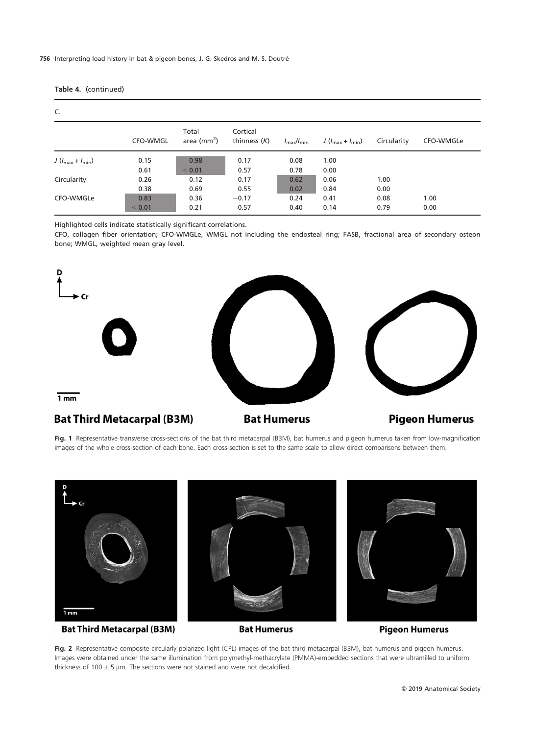## 756 Interpreting load history in bat & pigeon bones, J. G. Skedros and M. S. Doutre

| C.                                 |          |                               |                            |                                 |                                    |             |           |  |  |
|------------------------------------|----------|-------------------------------|----------------------------|---------------------------------|------------------------------------|-------------|-----------|--|--|
|                                    | CFO-WMGL | Total<br>area $\text{(mm}^2)$ | Cortical<br>thinness $(K)$ | $I_{\text{max}}/I_{\text{min}}$ | $J(l_{\text{max}}+l_{\text{min}})$ | Circularity | CFO-WMGLe |  |  |
| $J(l_{\text{max}}+l_{\text{min}})$ | 0.15     | 0.98                          | 0.17                       | 0.08                            | 1.00                               |             |           |  |  |
|                                    | 0.61     | < 0.01                        | 0.57                       | 0.78                            | 0.00                               |             |           |  |  |
| Circularity                        | 0.26     | 0.12                          | 0.17                       | $-0.62$                         | 0.06                               | 1.00        |           |  |  |
|                                    | 0.38     | 0.69                          | 0.55                       | 0.02                            | 0.84                               | 0.00        |           |  |  |
| CFO-WMGLe                          | 0.83     | 0.36                          | $-0.17$                    | 0.24                            | 0.41                               | 0.08        | 1.00      |  |  |
|                                    | < 0.01   | 0.21                          | 0.57                       | 0.40                            | 0.14                               | 0.79        | 0.00      |  |  |

## Table 4. (continued)

Highlighted cells indicate statistically significant correlations.

CFO, collagen fiber orientation; CFO-WMGLe, WMGL not including the endosteal ring; FASB, fractional area of secondary osteon bone; WMGL, weighted mean gray level.



Fig. 1 Representative transverse cross-sections of the bat third metacarpal (B3M), bat humerus and pigeon humerus taken from low-magnification images of the whole cross-section of each bone. Each cross-section is set to the same scale to allow direct comparisons between them.



Fig. 2 Representative composite circularly polarized light (CPL) images of the bat third metacarpal (B3M), bat humerus and pigeon humerus. Images were obtained under the same illumination from polymethyl-methacrylate (PMMA)-embedded sections that were ultramilled to uniform thickness of 100  $\pm$  5 µm. The sections were not stained and were not decalcified.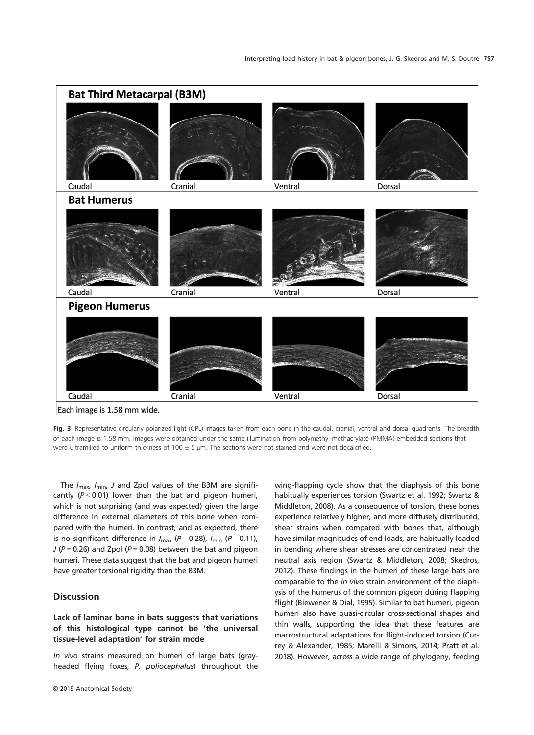

Fig. 3 Representative circularly polarized light (CPL) images taken from each bone in the caudal, cranial, ventral and dorsal quadrants. The breadth of each image is 1.58 mm. Images were obtained under the same illumination from polymethyl-methacrylate (PMMA)-embedded sections that were ultramilled to uniform thickness of 100  $\pm$  5 µm. The sections were not stained and were not decalcified.

The  $I_{\text{max}}$ ,  $I_{\text{min}}$ , J and Zpol values of the B3M are significantly ( $P < 0.01$ ) lower than the bat and pigeon humeri, which is not surprising (and was expected) given the large difference in external diameters of this bone when compared with the humeri. In contrast, and as expected, there is no significant difference in  $I_{\text{max}}$  (P = 0.28),  $I_{\text{min}}$  (P = 0.11),  $J (P = 0.26)$  and Zpol ( $P = 0.08$ ) between the bat and pigeon humeri. These data suggest that the bat and pigeon humeri have greater torsional rigidity than the B3M.

# **Discussion**

# Lack of laminar bone in bats suggests that variations of this histological type cannot be 'the universal tissue-level adaptation' for strain mode

In vivo strains measured on humeri of large bats (grayheaded flying foxes, P. poliocephalus) throughout the

© 2019 Anatomical Society

wing-flapping cycle show that the diaphysis of this bone habitually experiences torsion (Swartz et al. 1992; Swartz & Middleton, 2008). As a consequence of torsion, these bones experience relatively higher, and more diffusely distributed, shear strains when compared with bones that, although have similar magnitudes of end-loads, are habitually loaded in bending where shear stresses are concentrated near the neutral axis region (Swartz & Middleton, 2008; Skedros, 2012). These findings in the humeri of these large bats are comparable to the in vivo strain environment of the diaphysis of the humerus of the common pigeon during flapping flight (Biewener & Dial, 1995). Similar to bat humeri, pigeon humeri also have quasi-circular cross-sectional shapes and thin walls, supporting the idea that these features are macrostructural adaptations for flight-induced torsion (Currey & Alexander, 1985; Marelli & Simons, 2014; Pratt et al. 2018). However, across a wide range of phylogeny, feeding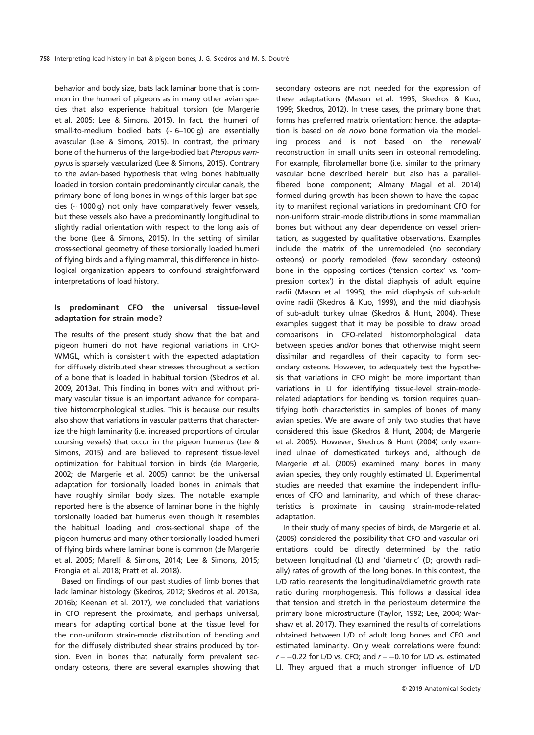behavior and body size, bats lack laminar bone that is common in the humeri of pigeons as in many other avian species that also experience habitual torsion (de Margerie et al. 2005; Lee & Simons, 2015). In fact, the humeri of small-to-medium bodied bats  $($   $\sim$  6-100 g) are essentially avascular (Lee & Simons, 2015). In contrast, the primary bone of the humerus of the large-bodied bat Pteropus vampyrus is sparsely vascularized (Lee & Simons, 2015). Contrary to the avian-based hypothesis that wing bones habitually loaded in torsion contain predominantly circular canals, the primary bone of long bones in wings of this larger bat species ( $\sim$  1000 g) not only have comparatively fewer vessels, but these vessels also have a predominantly longitudinal to slightly radial orientation with respect to the long axis of the bone (Lee & Simons, 2015). In the setting of similar cross-sectional geometry of these torsionally loaded humeri of flying birds and a flying mammal, this difference in histological organization appears to confound straightforward interpretations of load history.

# Is predominant CFO the universal tissue-level adaptation for strain mode?

The results of the present study show that the bat and pigeon humeri do not have regional variations in CFO-WMGL, which is consistent with the expected adaptation for diffusely distributed shear stresses throughout a section of a bone that is loaded in habitual torsion (Skedros et al. 2009, 2013a). This finding in bones with and without primary vascular tissue is an important advance for comparative histomorphological studies. This is because our results also show that variations in vascular patterns that characterize the high laminarity (i.e. increased proportions of circular coursing vessels) that occur in the pigeon humerus (Lee & Simons, 2015) and are believed to represent tissue-level optimization for habitual torsion in birds (de Margerie, 2002; de Margerie et al. 2005) cannot be the universal adaptation for torsionally loaded bones in animals that have roughly similar body sizes. The notable example reported here is the absence of laminar bone in the highly torsionally loaded bat humerus even though it resembles the habitual loading and cross-sectional shape of the pigeon humerus and many other torsionally loaded humeri of flying birds where laminar bone is common (de Margerie et al. 2005; Marelli & Simons, 2014; Lee & Simons, 2015; Frongia et al. 2018; Pratt et al. 2018).

Based on findings of our past studies of limb bones that lack laminar histology (Skedros, 2012; Skedros et al. 2013a, 2016b; Keenan et al. 2017), we concluded that variations in CFO represent the proximate, and perhaps universal, means for adapting cortical bone at the tissue level for the non-uniform strain-mode distribution of bending and for the diffusely distributed shear strains produced by torsion. Even in bones that naturally form prevalent secondary osteons, there are several examples showing that secondary osteons are not needed for the expression of these adaptations (Mason et al. 1995; Skedros & Kuo, 1999; Skedros, 2012). In these cases, the primary bone that forms has preferred matrix orientation; hence, the adaptation is based on de novo bone formation via the modeling process and is not based on the renewal/ reconstruction in small units seen in osteonal remodeling. For example, fibrolamellar bone (i.e. similar to the primary vascular bone described herein but also has a parallelfibered bone component; Almany Magal et al. 2014) formed during growth has been shown to have the capacity to manifest regional variations in predominant CFO for non-uniform strain-mode distributions in some mammalian bones but without any clear dependence on vessel orientation, as suggested by qualitative observations. Examples include the matrix of the unremodeled (no secondary osteons) or poorly remodeled (few secondary osteons) bone in the opposing cortices ('tension cortex' vs. 'compression cortex') in the distal diaphysis of adult equine radii (Mason et al. 1995), the mid diaphysis of sub-adult ovine radii (Skedros & Kuo, 1999), and the mid diaphysis of sub-adult turkey ulnae (Skedros & Hunt, 2004). These examples suggest that it may be possible to draw broad comparisons in CFO-related histomorphological data between species and/or bones that otherwise might seem dissimilar and regardless of their capacity to form secondary osteons. However, to adequately test the hypothesis that variations in CFO might be more important than variations in LI for identifying tissue-level strain-moderelated adaptations for bending vs. torsion requires quantifying both characteristics in samples of bones of many avian species. We are aware of only two studies that have considered this issue (Skedros & Hunt, 2004; de Margerie et al. 2005). However, Skedros & Hunt (2004) only examined ulnae of domesticated turkeys and, although de Margerie et al. (2005) examined many bones in many avian species, they only roughly estimated LI. Experimental studies are needed that examine the independent influences of CFO and laminarity, and which of these characteristics is proximate in causing strain-mode-related adaptation.

In their study of many species of birds, de Margerie et al. (2005) considered the possibility that CFO and vascular orientations could be directly determined by the ratio between longitudinal (L) and 'diametric' (D; growth radially) rates of growth of the long bones. In this context, the L/D ratio represents the longitudinal/diametric growth rate ratio during morphogenesis. This follows a classical idea that tension and stretch in the periosteum determine the primary bone microstructure (Taylor, 1992; Lee, 2004; Warshaw et al. 2017). They examined the results of correlations obtained between L/D of adult long bones and CFO and estimated laminarity. Only weak correlations were found:  $r = -0.22$  for L/D vs. CFO; and  $r = -0.10$  for L/D vs. estimated LI. They argued that a much stronger influence of L/D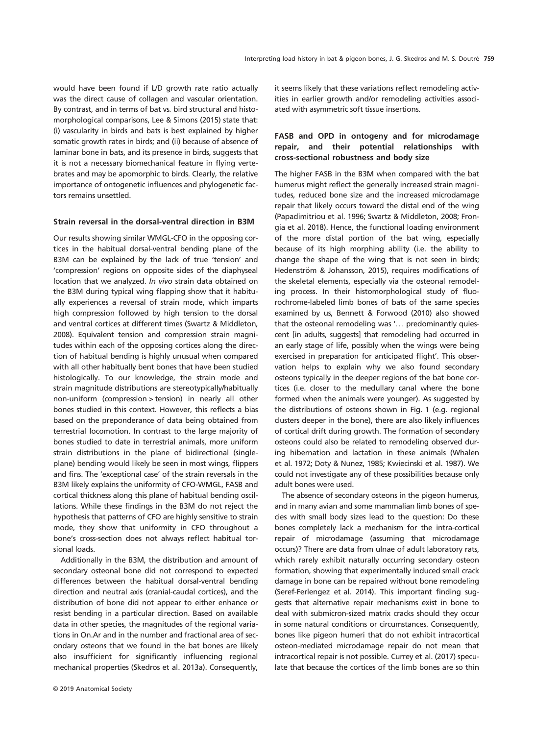would have been found if L/D growth rate ratio actually was the direct cause of collagen and vascular orientation. By contrast, and in terms of bat vs. bird structural and histomorphological comparisons, Lee & Simons (2015) state that: (i) vascularity in birds and bats is best explained by higher somatic growth rates in birds; and (ii) because of absence of laminar bone in bats, and its presence in birds, suggests that it is not a necessary biomechanical feature in flying vertebrates and may be apomorphic to birds. Clearly, the relative importance of ontogenetic influences and phylogenetic factors remains unsettled.

## Strain reversal in the dorsal-ventral direction in B3M

Our results showing similar WMGL-CFO in the opposing cortices in the habitual dorsal-ventral bending plane of the B3M can be explained by the lack of true 'tension' and 'compression' regions on opposite sides of the diaphyseal location that we analyzed. In vivo strain data obtained on the B3M during typical wing flapping show that it habitually experiences a reversal of strain mode, which imparts high compression followed by high tension to the dorsal and ventral cortices at different times (Swartz & Middleton, 2008). Equivalent tension and compression strain magnitudes within each of the opposing cortices along the direction of habitual bending is highly unusual when compared with all other habitually bent bones that have been studied histologically. To our knowledge, the strain mode and strain magnitude distributions are stereotypically/habitually non-uniform (compression > tension) in nearly all other bones studied in this context. However, this reflects a bias based on the preponderance of data being obtained from terrestrial locomotion. In contrast to the large majority of bones studied to date in terrestrial animals, more uniform strain distributions in the plane of bidirectional (singleplane) bending would likely be seen in most wings, flippers and fins. The 'exceptional case' of the strain reversals in the B3M likely explains the uniformity of CFO-WMGL, FASB and cortical thickness along this plane of habitual bending oscillations. While these findings in the B3M do not reject the hypothesis that patterns of CFO are highly sensitive to strain mode, they show that uniformity in CFO throughout a bone's cross-section does not always reflect habitual torsional loads.

Additionally in the B3M, the distribution and amount of secondary osteonal bone did not correspond to expected differences between the habitual dorsal-ventral bending direction and neutral axis (cranial-caudal cortices), and the distribution of bone did not appear to either enhance or resist bending in a particular direction. Based on available data in other species, the magnitudes of the regional variations in On.Ar and in the number and fractional area of secondary osteons that we found in the bat bones are likely also insufficient for significantly influencing regional mechanical properties (Skedros et al. 2013a). Consequently,

it seems likely that these variations reflect remodeling activities in earlier growth and/or remodeling activities associated with asymmetric soft tissue insertions.

# FASB and OPD in ontogeny and for microdamage repair, and their potential relationships with cross-sectional robustness and body size

The higher FASB in the B3M when compared with the bat humerus might reflect the generally increased strain magnitudes, reduced bone size and the increased microdamage repair that likely occurs toward the distal end of the wing (Papadimitriou et al. 1996; Swartz & Middleton, 2008; Frongia et al. 2018). Hence, the functional loading environment of the more distal portion of the bat wing, especially because of its high morphing ability (i.e. the ability to change the shape of the wing that is not seen in birds; Hedenström & Johansson, 2015), requires modifications of the skeletal elements, especially via the osteonal remodeling process. In their histomorphological study of fluorochrome-labeled limb bones of bats of the same species examined by us, Bennett & Forwood (2010) also showed that the osteonal remodeling was '... predominantly quiescent [in adults, suggests] that remodeling had occurred in an early stage of life, possibly when the wings were being exercised in preparation for anticipated flight'. This observation helps to explain why we also found secondary osteons typically in the deeper regions of the bat bone cortices (i.e. closer to the medullary canal where the bone formed when the animals were younger). As suggested by the distributions of osteons shown in Fig. 1 (e.g. regional clusters deeper in the bone), there are also likely influences of cortical drift during growth. The formation of secondary osteons could also be related to remodeling observed during hibernation and lactation in these animals (Whalen et al. 1972; Doty & Nunez, 1985; Kwiecinski et al. 1987). We could not investigate any of these possibilities because only adult bones were used.

The absence of secondary osteons in the pigeon humerus, and in many avian and some mammalian limb bones of species with small body sizes lead to the question: Do these bones completely lack a mechanism for the intra-cortical repair of microdamage (assuming that microdamage occurs)? There are data from ulnae of adult laboratory rats, which rarely exhibit naturally occurring secondary osteon formation, showing that experimentally induced small crack damage in bone can be repaired without bone remodeling (Seref-Ferlengez et al. 2014). This important finding suggests that alternative repair mechanisms exist in bone to deal with submicron-sized matrix cracks should they occur in some natural conditions or circumstances. Consequently, bones like pigeon humeri that do not exhibit intracortical osteon-mediated microdamage repair do not mean that intracortical repair is not possible. Currey et al. (2017) speculate that because the cortices of the limb bones are so thin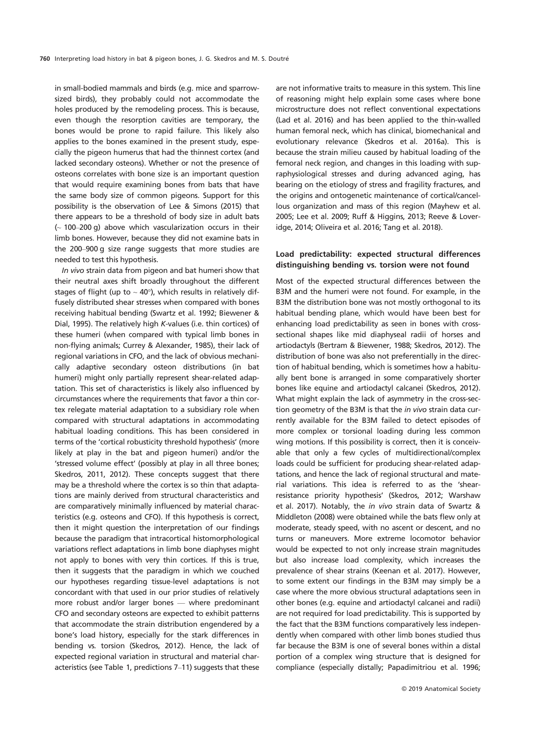in small-bodied mammals and birds (e.g. mice and sparrowsized birds), they probably could not accommodate the holes produced by the remodeling process. This is because, even though the resorption cavities are temporary, the bones would be prone to rapid failure. This likely also applies to the bones examined in the present study, especially the pigeon humerus that had the thinnest cortex (and lacked secondary osteons). Whether or not the presence of osteons correlates with bone size is an important question that would require examining bones from bats that have the same body size of common pigeons. Support for this possibility is the observation of Lee & Simons (2015) that there appears to be a threshold of body size in adult bats  $(-100-200 g)$  above which vascularization occurs in their limb bones. However, because they did not examine bats in the 200–900 g size range suggests that more studies are needed to test this hypothesis.

In vivo strain data from pigeon and bat humeri show that their neutral axes shift broadly throughout the different stages of flight (up to  $\sim$  40°), which results in relatively diffusely distributed shear stresses when compared with bones receiving habitual bending (Swartz et al. 1992; Biewener & Dial, 1995). The relatively high K-values (i.e. thin cortices) of these humeri (when compared with typical limb bones in non-flying animals; Currey & Alexander, 1985), their lack of regional variations in CFO, and the lack of obvious mechanically adaptive secondary osteon distributions (in bat humeri) might only partially represent shear-related adaptation. This set of characteristics is likely also influenced by circumstances where the requirements that favor a thin cortex relegate material adaptation to a subsidiary role when compared with structural adaptations in accommodating habitual loading conditions. This has been considered in terms of the 'cortical robusticity threshold hypothesis' (more likely at play in the bat and pigeon humeri) and/or the 'stressed volume effect' (possibly at play in all three bones; Skedros, 2011, 2012). These concepts suggest that there may be a threshold where the cortex is so thin that adaptations are mainly derived from structural characteristics and are comparatively minimally influenced by material characteristics (e.g. osteons and CFO). If this hypothesis is correct, then it might question the interpretation of our findings because the paradigm that intracortical histomorphological variations reflect adaptations in limb bone diaphyses might not apply to bones with very thin cortices. If this is true, then it suggests that the paradigm in which we couched our hypotheses regarding tissue-level adaptations is not concordant with that used in our prior studies of relatively more robust and/or larger bones — where predominant CFO and secondary osteons are expected to exhibit patterns that accommodate the strain distribution engendered by a bone's load history, especially for the stark differences in bending vs. torsion (Skedros, 2012). Hence, the lack of expected regional variation in structural and material characteristics (see Table 1, predictions 7–11) suggests that these are not informative traits to measure in this system. This line of reasoning might help explain some cases where bone microstructure does not reflect conventional expectations (Lad et al. 2016) and has been applied to the thin-walled human femoral neck, which has clinical, biomechanical and evolutionary relevance (Skedros et al. 2016a). This is because the strain milieu caused by habitual loading of the femoral neck region, and changes in this loading with supraphysiological stresses and during advanced aging, has bearing on the etiology of stress and fragility fractures, and the origins and ontogenetic maintenance of cortical/cancellous organization and mass of this region (Mayhew et al. 2005; Lee et al. 2009; Ruff & Higgins, 2013; Reeve & Loveridge, 2014; Oliveira et al. 2016; Tang et al. 2018).

## Load predictability: expected structural differences distinguishing bending vs. torsion were not found

Most of the expected structural differences between the B3M and the humeri were not found. For example, in the B3M the distribution bone was not mostly orthogonal to its habitual bending plane, which would have been best for enhancing load predictability as seen in bones with crosssectional shapes like mid diaphyseal radii of horses and artiodactyls (Bertram & Biewener, 1988; Skedros, 2012). The distribution of bone was also not preferentially in the direction of habitual bending, which is sometimes how a habitually bent bone is arranged in some comparatively shorter bones like equine and artiodactyl calcanei (Skedros, 2012). What might explain the lack of asymmetry in the cross-section geometry of the B3M is that the *in vivo* strain data currently available for the B3M failed to detect episodes of more complex or torsional loading during less common wing motions. If this possibility is correct, then it is conceivable that only a few cycles of multidirectional/complex loads could be sufficient for producing shear-related adaptations, and hence the lack of regional structural and material variations. This idea is referred to as the 'shearresistance priority hypothesis' (Skedros, 2012; Warshaw et al. 2017). Notably, the in vivo strain data of Swartz & Middleton (2008) were obtained while the bats flew only at moderate, steady speed, with no ascent or descent, and no turns or maneuvers. More extreme locomotor behavior would be expected to not only increase strain magnitudes but also increase load complexity, which increases the prevalence of shear strains (Keenan et al. 2017). However, to some extent our findings in the B3M may simply be a case where the more obvious structural adaptations seen in other bones (e.g. equine and artiodactyl calcanei and radii) are not required for load predictability. This is supported by the fact that the B3M functions comparatively less independently when compared with other limb bones studied thus far because the B3M is one of several bones within a distal portion of a complex wing structure that is designed for compliance (especially distally; Papadimitriou et al. 1996;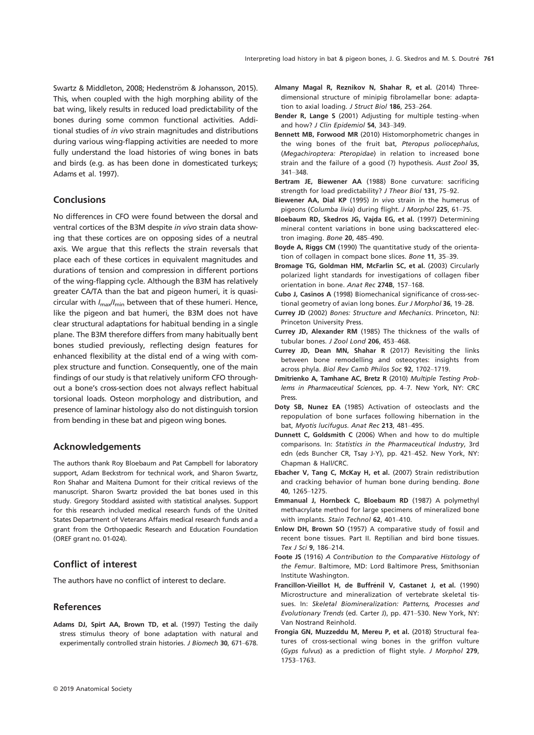Swartz & Middleton, 2008; Hedenström & Johansson, 2015). This, when coupled with the high morphing ability of the bat wing, likely results in reduced load predictability of the bones during some common functional activities. Additional studies of in vivo strain magnitudes and distributions during various wing-flapping activities are needed to more fully understand the load histories of wing bones in bats and birds (e.g. as has been done in domesticated turkeys; Adams et al. 1997).

## **Conclusions**

No differences in CFO were found between the dorsal and ventral cortices of the B3M despite in vivo strain data showing that these cortices are on opposing sides of a neutral axis. We argue that this reflects the strain reversals that place each of these cortices in equivalent magnitudes and durations of tension and compression in different portions of the wing-flapping cycle. Although the B3M has relatively greater CA/TA than the bat and pigeon humeri, it is quasicircular with  $I_{\text{max}}/I_{\text{min}}$  between that of these humeri. Hence, like the pigeon and bat humeri, the B3M does not have clear structural adaptations for habitual bending in a single plane. The B3M therefore differs from many habitually bent bones studied previously, reflecting design features for enhanced flexibility at the distal end of a wing with complex structure and function. Consequently, one of the main findings of our study is that relatively uniform CFO throughout a bone's cross-section does not always reflect habitual torsional loads. Osteon morphology and distribution, and presence of laminar histology also do not distinguish torsion from bending in these bat and pigeon wing bones.

# Acknowledgements

The authors thank Roy Bloebaum and Pat Campbell for laboratory support, Adam Beckstrom for technical work, and Sharon Swartz, Ron Shahar and Maitena Dumont for their critical reviews of the manuscript. Sharon Swartz provided the bat bones used in this study. Gregory Stoddard assisted with statistical analyses. Support for this research included medical research funds of the United States Department of Veterans Affairs medical research funds and a grant from the Orthopaedic Research and Education Foundation (OREF grant no. 01-024).

# Conflict of interest

The authors have no conflict of interest to declare.

## References

Adams DJ, Spirt AA, Brown TD, et al. (1997) Testing the daily stress stimulus theory of bone adaptation with natural and experimentally controlled strain histories. J Biomech 30, 671–678.

- Almany Magal R, Reznikov N, Shahar R, et al. (2014) Threedimensional structure of minipig fibrolamellar bone: adaptation to axial loading. J Struct Biol 186, 253–264.
- Bender R, Lange S (2001) Adjusting for multiple testing–when and how? J Clin Epidemiol 54, 343–349.
- Bennett MB, Forwood MR (2010) Histomorphometric changes in the wing bones of the fruit bat, Pteropus poliocephalus, (Megachiroptera: Pteropidae) in relation to increased bone strain and the failure of a good (?) hypothesis. Aust Zool 35, 341–348.
- Bertram JE, Biewener AA (1988) Bone curvature: sacrificing strength for load predictability? J Theor Biol 131, 75–92.
- Biewener AA, Dial KP (1995) In vivo strain in the humerus of pigeons (Columba livia) during flight. J Morphol 225, 61–75.
- Bloebaum RD, Skedros JG, Vajda EG, et al. (1997) Determining mineral content variations in bone using backscattered electron imaging. Bone 20, 485–490.
- Boyde A, Riggs CM (1990) The quantitative study of the orientation of collagen in compact bone slices. Bone 11, 35–39.
- Bromage TG, Goldman HM, McFarlin SC, et al. (2003) Circularly polarized light standards for investigations of collagen fiber orientation in bone. Anat Rec 274B, 157–168.
- Cubo J, Casinos A (1998) Biomechanical significance of cross-sectional geometry of avian long bones. Eur J Morphol 36, 19–28.
- Currey JD (2002) Bones: Structure and Mechanics. Princeton, NJ: Princeton University Press.
- Currey JD, Alexander RM (1985) The thickness of the walls of tubular bones. J Zool Lond 206, 453–468.
- Currey JD, Dean MN, Shahar R (2017) Revisiting the links between bone remodelling and osteocytes: insights from across phyla. Biol Rev Camb Philos Soc 92, 1702–1719.
- Dmitrienko A, Tamhane AC, Bretz R (2010) Multiple Testing Problems in Pharmaceutical Sciences, pp. 4–7. New York, NY: CRC Press.
- Doty SB, Nunez EA (1985) Activation of osteoclasts and the repopulation of bone surfaces following hibernation in the bat, Myotis lucifugus. Anat Rec 213, 481–495.
- Dunnett C, Goldsmith C (2006) When and how to do multiple comparisons. In: Statistics in the Pharmaceutical Industry, 3rd edn (eds Buncher CR, Tsay J-Y), pp. 421–452. New York, NY: Chapman & Hall/CRC.
- Ebacher V, Tang C, McKay H, et al. (2007) Strain redistribution and cracking behavior of human bone during bending. Bone 40, 1265–1275.
- Emmanual J, Hornbeck C, Bloebaum RD (1987) A polymethyl methacrylate method for large specimens of mineralized bone with implants. Stain Technol 62, 401–410.
- Enlow DH, Brown SO (1957) A comparative study of fossil and recent bone tissues. Part II. Reptilian and bird bone tissues. Tex J Sci 9, 186–214.
- Foote JS (1916) A Contribution to the Comparative Histology of the Femur. Baltimore, MD: Lord Baltimore Press, Smithsonian Institute Washington.
- Francillon-Vieillot H, de Buffrénil V, Castanet J, et al. (1990) Microstructure and mineralization of vertebrate skeletal tissues. In: Skeletal Biomineralization: Patterns, Processes and Evolutionary Trends (ed. Carter J), pp. 471–530. New York, NY: Van Nostrand Reinhold.
- Frongia GN, Muzzeddu M, Mereu P, et al. (2018) Structural features of cross-sectional wing bones in the griffon vulture (Gyps fulvus) as a prediction of flight style. J Morphol 279, 1753–1763.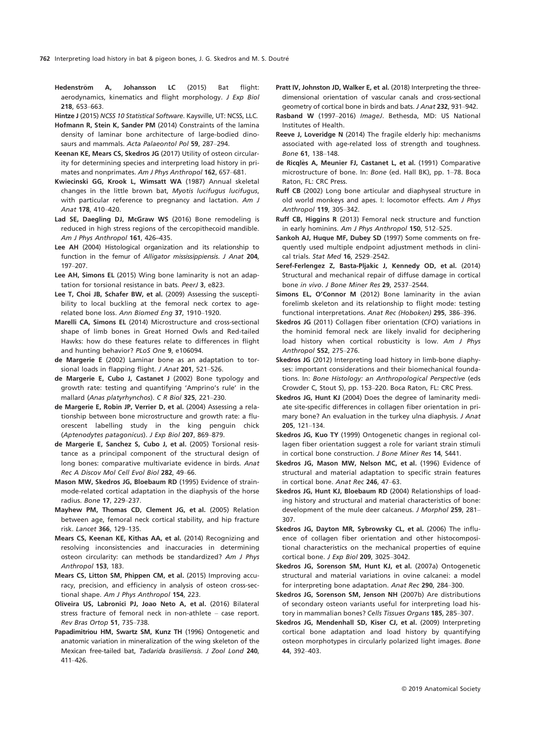Hedenström A, Johansson LC (2015) Bat flight: aerodynamics, kinematics and flight morphology. J Exp Biol 218, 653–663.

Hintze J (2015) NCSS 10 Statistical Software. Kaysville, UT: NCSS, LLC.

- Hofmann R, Stein K, Sander PM (2014) Constraints of the lamina density of laminar bone architecture of large-bodied dinosaurs and mammals. Acta Palaeontol Pol 59, 287–294.
- Keenan KE, Mears CS, Skedros JG (2017) Utility of osteon circularity for determining species and interpreting load history in primates and nonprimates. Am J Phys Anthropol 162, 657–681.
- Kwiecinski GG, Krook L, Wimsatt WA (1987) Annual skeletal changes in the little brown bat, Myotis lucifugus lucifugus, with particular reference to pregnancy and lactation. Am J Anat 178, 410–420.
- Lad SE, Daegling DJ, McGraw WS (2016) Bone remodeling is reduced in high stress regions of the cercopithecoid mandible. Am J Phys Anthropol 161, 426–435.
- Lee AH (2004) Histological organization and its relationship to function in the femur of Alligator mississippiensis. J Anat 204, 197–207.
- Lee AH, Simons EL (2015) Wing bone laminarity is not an adaptation for torsional resistance in bats. PeerJ 3, e823.
- Lee T, Choi JB, Schafer BW, et al. (2009) Assessing the susceptibility to local buckling at the femoral neck cortex to agerelated bone loss. Ann Biomed Eng 37, 1910–1920.
- Marelli CA, Simons EL (2014) Microstructure and cross-sectional shape of limb bones in Great Horned Owls and Red-tailed Hawks: how do these features relate to differences in flight and hunting behavior? PLoS One 9, e106094.
- de Margerie E (2002) Laminar bone as an adaptation to torsional loads in flapping flight. J Anat 201, 521–526.
- de Margerie E, Cubo J, Castanet J (2002) Bone typology and growth rate: testing and quantifying 'Amprino's rule' in the mallard (Anas platyrhynchos). C R Biol 325, 221–230.
- de Margerie E, Robin JP, Verrier D, et al. (2004) Assessing a relationship between bone microstructure and growth rate: a fluorescent labelling study in the king penguin chick (Aptenodytes patagonicus). J Exp Biol 207, 869–879.
- de Margerie E, Sanchez S, Cubo J, et al. (2005) Torsional resistance as a principal component of the structural design of long bones: comparative multivariate evidence in birds. Anat Rec A Discov Mol Cell Evol Biol 282, 49–66.
- Mason MW, Skedros JG, Bloebaum RD (1995) Evidence of strainmode-related cortical adaptation in the diaphysis of the horse radius. Bone 17, 229–237.
- Mayhew PM, Thomas CD, Clement JG, et al. (2005) Relation between age, femoral neck cortical stability, and hip fracture risk. Lancet 366, 129–135.
- Mears CS, Keenan KE, Kithas AA, et al. (2014) Recognizing and resolving inconsistencies and inaccuracies in determining osteon circularity: can methods be standardized? Am J Phys Anthropol 153, 183.
- Mears CS, Litton SM, Phippen CM, et al. (2015) Improving accuracy, precision, and efficiency in analysis of osteon cross-sectional shape. Am J Phys Anthropol 154, 223.
- Oliveira US, Labronici PJ, Joao Neto A, et al. (2016) Bilateral stress fracture of femoral neck in non-athlete – case report. Rev Bras Ortop 51, 735–738.
- Papadimitriou HM, Swartz SM, Kunz TH (1996) Ontogenetic and anatomic variation in mineralization of the wing skeleton of the Mexican free-tailed bat, Tadarida brasiliensis. J Zool Lond 240, 411–426.
- Pratt IV, Johnston JD, Walker E, et al. (2018) Interpreting the threedimensional orientation of vascular canals and cross-sectional geometry of cortical bone in birds and bats. J Anat 232, 931–942.
- Rasband W (1997–2016) ImageJ. Bethesda, MD: US National Institutes of Health.
- Reeve J, Loveridge N (2014) The fragile elderly hip: mechanisms associated with age-related loss of strength and toughness. Bone 61, 138–148.
- de Ricqlès A, Meunier FJ, Castanet L, et al. (1991) Comparative microstructure of bone. In: Bone (ed. Hall BK), pp. 1–78. Boca Raton, FL: CRC Press.
- Ruff CB (2002) Long bone articular and diaphyseal structure in old world monkeys and apes. I: locomotor effects. Am J Phys Anthropol 119, 305–342.
- Ruff CB, Higgins R (2013) Femoral neck structure and function in early hominins. Am J Phys Anthropol 150, 512–525.
- Sankoh AJ, Huque MF, Dubey SD (1997) Some comments on frequently used multiple endpoint adjustment methods in clinical trials. Stat Med 16, 2529–2542.
- Seref-Ferlengez Z, Basta-Pljakic J, Kennedy OD, et al. (2014) Structural and mechanical repair of diffuse damage in cortical bone in vivo. J Bone Miner Res 29, 2537–2544.
- Simons EL, O'Connor M (2012) Bone laminarity in the avian forelimb skeleton and its relationship to flight mode: testing functional interpretations. Anat Rec (Hoboken) 295, 386–396.
- Skedros JG (2011) Collagen fiber orientation (CFO) variations in the hominid femoral neck are likely invalid for deciphering load history when cortical robusticity is low. Am J Phys Anthropol S52, 275–276.
- Skedros JG (2012) Interpreting load history in limb-bone diaphyses: important considerations and their biomechanical foundations. In: Bone Histology: an Anthropological Perspective (eds Crowder C, Stout S), pp. 153–220. Boca Raton, FL: CRC Press.
- Skedros JG, Hunt KJ (2004) Does the degree of laminarity mediate site-specific differences in collagen fiber orientation in primary bone? An evaluation in the turkey ulna diaphysis. J Anat 205, 121–134.
- Skedros JG, Kuo TY (1999) Ontogenetic changes in regional collagen fiber orientation suggest a role for variant strain stimuli in cortical bone construction. J Bone Miner Res 14, S441.
- Skedros JG, Mason MW, Nelson MC, et al. (1996) Evidence of structural and material adaptation to specific strain features in cortical bone. Anat Rec 246, 47–63.
- Skedros JG, Hunt KJ, Bloebaum RD (2004) Relationships of loading history and structural and material characteristics of bone: development of the mule deer calcaneus. J Morphol 259, 281– 307.
- Skedros JG, Dayton MR, Sybrowsky CL, et al. (2006) The influence of collagen fiber orientation and other histocompositional characteristics on the mechanical properties of equine cortical bone. J Exp Biol 209, 3025–3042.
- Skedros JG, Sorenson SM, Hunt KJ, et al. (2007a) Ontogenetic structural and material variations in ovine calcanei: a model for interpreting bone adaptation. Anat Rec 290, 284–300.
- Skedros JG, Sorenson SM, Jenson NH (2007b) Are distributions of secondary osteon variants useful for interpreting load history in mammalian bones? Cells Tissues Organs 185, 285–307.
- Skedros JG, Mendenhall SD, Kiser CJ, et al. (2009) Interpreting cortical bone adaptation and load history by quantifying osteon morphotypes in circularly polarized light images. Bone 44, 392–403.